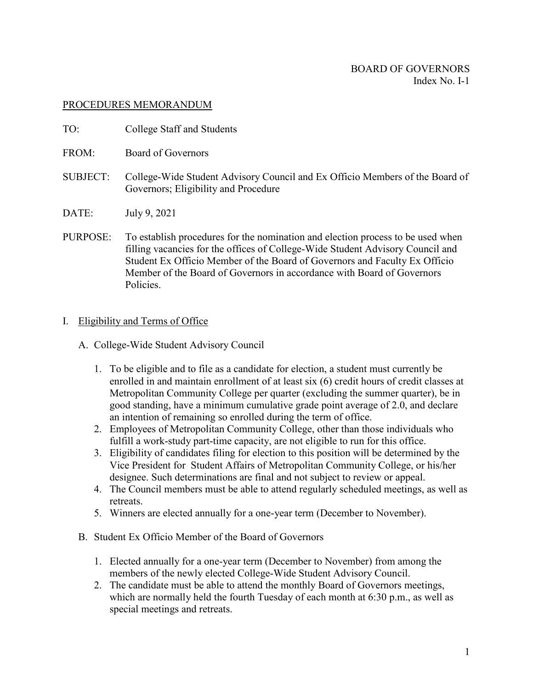## PROCEDURES MEMORANDUM

- TO: College Staff and Students
- FROM: Board of Governors
- SUBJECT: College-Wide Student Advisory Council and Ex Officio Members of the Board of Governors; Eligibility and Procedure
- DATE: July 9, 2021
- PURPOSE: To establish procedures for the nomination and election process to be used when filling vacancies for the offices of College-Wide Student Advisory Council and Student Ex Officio Member of the Board of Governors and Faculty Ex Officio Member of the Board of Governors in accordance with Board of Governors Policies.

## I. Eligibility and Terms of Office

- A. College-Wide Student Advisory Council
	- 1. To be eligible and to file as a candidate for election, a student must currently be enrolled in and maintain enrollment of at least six (6) credit hours of credit classes at Metropolitan Community College per quarter (excluding the summer quarter), be in good standing, have a minimum cumulative grade point average of 2.0, and declare an intention of remaining so enrolled during the term of office.
	- 2. Employees of Metropolitan Community College, other than those individuals who fulfill a work-study part-time capacity, are not eligible to run for this office.
	- 3. Eligibility of candidates filing for election to this position will be determined by the Vice President for Student Affairs of Metropolitan Community College, or his/her designee. Such determinations are final and not subject to review or appeal.
	- 4. The Council members must be able to attend regularly scheduled meetings, as well as retreats.
	- 5. Winners are elected annually for a one-year term (December to November).
- B. Student Ex Officio Member of the Board of Governors
	- 1. Elected annually for a one-year term (December to November) from among the members of the newly elected College-Wide Student Advisory Council.
	- 2. The candidate must be able to attend the monthly Board of Governors meetings, which are normally held the fourth Tuesday of each month at 6:30 p.m., as well as special meetings and retreats.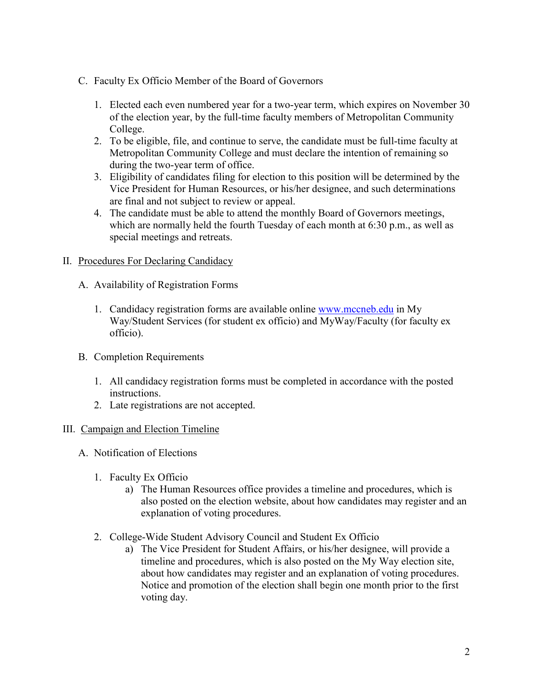- C. Faculty Ex Officio Member of the Board of Governors
	- 1. Elected each even numbered year for a two-year term, which expires on November 30 of the election year, by the full-time faculty members of Metropolitan Community College.
	- 2. To be eligible, file, and continue to serve, the candidate must be full-time faculty at Metropolitan Community College and must declare the intention of remaining so during the two-year term of office.
	- 3. Eligibility of candidates filing for election to this position will be determined by the Vice President for Human Resources, or his/her designee, and such determinations are final and not subject to review or appeal.
	- 4. The candidate must be able to attend the monthly Board of Governors meetings, which are normally held the fourth Tuesday of each month at 6:30 p.m., as well as special meetings and retreats.

# II. Procedures For Declaring Candidacy

- A. Availability of Registration Forms
	- 1. Candidacy registration forms are available online [www.mccneb.edu](http://www.mccneb.edu/) in My Way/Student Services (for student ex officio) and MyWay/Faculty (for faculty ex officio).
- B. Completion Requirements
	- 1. All candidacy registration forms must be completed in accordance with the posted instructions.
	- 2. Late registrations are not accepted.

# III. Campaign and Election Timeline

- A. Notification of Elections
	- 1. Faculty Ex Officio
		- a) The Human Resources office provides a timeline and procedures, which is also posted on the election website, about how candidates may register and an explanation of voting procedures.
	- 2. College-Wide Student Advisory Council and Student Ex Officio
		- a) The Vice President for Student Affairs, or his/her designee, will provide a timeline and procedures, which is also posted on the My Way election site, about how candidates may register and an explanation of voting procedures. Notice and promotion of the election shall begin one month prior to the first voting day.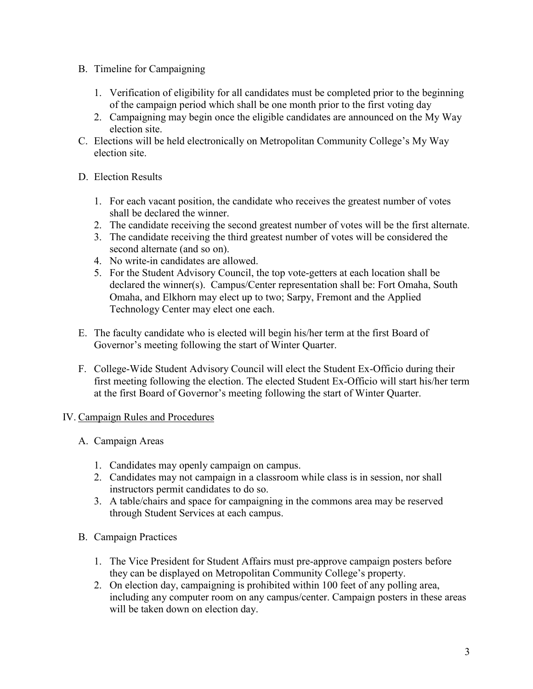- B. Timeline for Campaigning
	- 1. Verification of eligibility for all candidates must be completed prior to the beginning of the campaign period which shall be one month prior to the first voting day
	- 2. Campaigning may begin once the eligible candidates are announced on the My Way election site.
- C. Elections will be held electronically on Metropolitan Community College's My Way election site.
- D. Election Results
	- 1. For each vacant position, the candidate who receives the greatest number of votes shall be declared the winner.
	- 2. The candidate receiving the second greatest number of votes will be the first alternate.
	- 3. The candidate receiving the third greatest number of votes will be considered the second alternate (and so on).
	- 4. No write-in candidates are allowed.
	- 5. For the Student Advisory Council, the top vote-getters at each location shall be declared the winner(s). Campus/Center representation shall be: Fort Omaha, South Omaha, and Elkhorn may elect up to two; Sarpy, Fremont and the Applied Technology Center may elect one each.
- E. The faculty candidate who is elected will begin his/her term at the first Board of Governor's meeting following the start of Winter Quarter.
- F. College-Wide Student Advisory Council will elect the Student Ex-Officio during their first meeting following the election. The elected Student Ex-Officio will start his/her term at the first Board of Governor's meeting following the start of Winter Quarter.

# IV. Campaign Rules and Procedures

- A. Campaign Areas
	- 1. Candidates may openly campaign on campus.
	- 2. Candidates may not campaign in a classroom while class is in session, nor shall instructors permit candidates to do so.
	- 3. A table/chairs and space for campaigning in the commons area may be reserved through Student Services at each campus.
- B. Campaign Practices
	- 1. The Vice President for Student Affairs must pre-approve campaign posters before they can be displayed on Metropolitan Community College's property.
	- 2. On election day, campaigning is prohibited within 100 feet of any polling area, including any computer room on any campus/center. Campaign posters in these areas will be taken down on election day.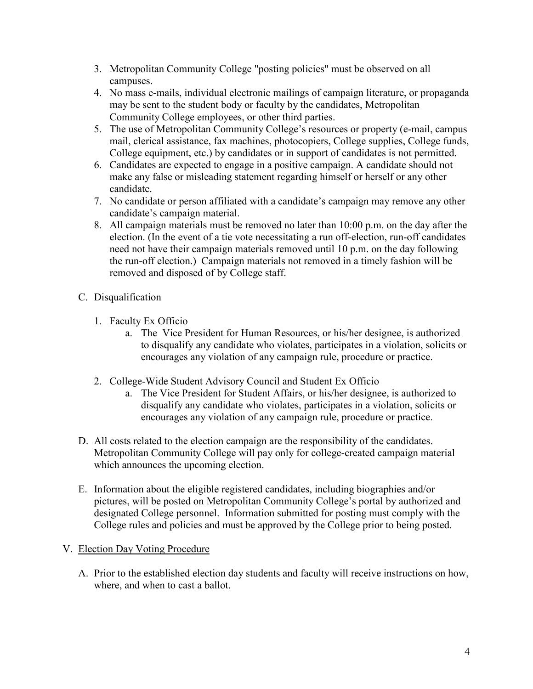- 3. Metropolitan Community College "posting policies" must be observed on all campuses.
- 4. No mass e-mails, individual electronic mailings of campaign literature, or propaganda may be sent to the student body or faculty by the candidates, Metropolitan Community College employees, or other third parties.
- 5. The use of Metropolitan Community College's resources or property (e-mail, campus mail, clerical assistance, fax machines, photocopiers, College supplies, College funds, College equipment, etc.) by candidates or in support of candidates is not permitted.
- 6. Candidates are expected to engage in a positive campaign. A candidate should not make any false or misleading statement regarding himself or herself or any other candidate.
- 7. No candidate or person affiliated with a candidate's campaign may remove any other candidate's campaign material.
- 8. All campaign materials must be removed no later than 10:00 p.m. on the day after the election. (In the event of a tie vote necessitating a run off-election, run-off candidates need not have their campaign materials removed until 10 p.m. on the day following the run-off election.) Campaign materials not removed in a timely fashion will be removed and disposed of by College staff.
- C. Disqualification
	- 1. Faculty Ex Officio
		- a. The Vice President for Human Resources, or his/her designee, is authorized to disqualify any candidate who violates, participates in a violation, solicits or encourages any violation of any campaign rule, procedure or practice.
	- 2. College-Wide Student Advisory Council and Student Ex Officio
		- a. The Vice President for Student Affairs, or his/her designee, is authorized to disqualify any candidate who violates, participates in a violation, solicits or encourages any violation of any campaign rule, procedure or practice.
- D. All costs related to the election campaign are the responsibility of the candidates. Metropolitan Community College will pay only for college-created campaign material which announces the upcoming election.
- E. Information about the eligible registered candidates, including biographies and/or pictures, will be posted on Metropolitan Community College's portal by authorized and designated College personnel. Information submitted for posting must comply with the College rules and policies and must be approved by the College prior to being posted.

# V. Election Day Voting Procedure

A. Prior to the established election day students and faculty will receive instructions on how, where, and when to cast a ballot.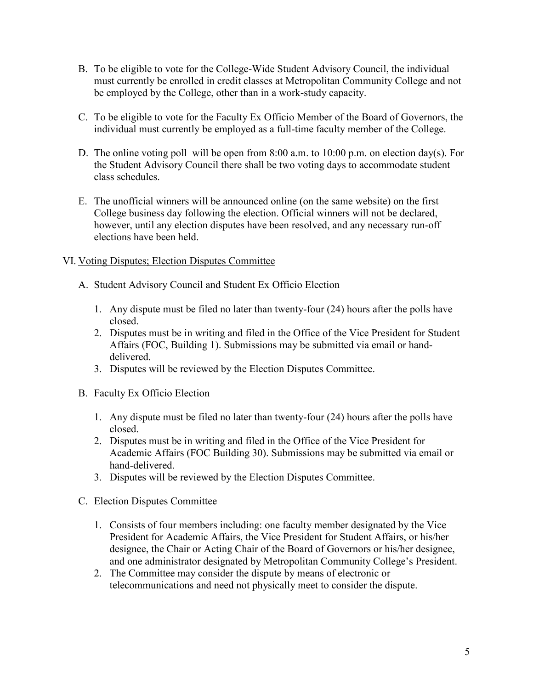- B. To be eligible to vote for the College-Wide Student Advisory Council, the individual must currently be enrolled in credit classes at Metropolitan Community College and not be employed by the College, other than in a work-study capacity.
- C. To be eligible to vote for the Faculty Ex Officio Member of the Board of Governors, the individual must currently be employed as a full-time faculty member of the College.
- D. The online voting poll will be open from 8:00 a.m. to 10:00 p.m. on election day(s). For the Student Advisory Council there shall be two voting days to accommodate student class schedules.
- E. The unofficial winners will be announced online (on the same website) on the first College business day following the election. Official winners will not be declared, however, until any election disputes have been resolved, and any necessary run-off elections have been held.

# VI. Voting Disputes; Election Disputes Committee

- A. Student Advisory Council and Student Ex Officio Election
	- 1. Any dispute must be filed no later than twenty-four (24) hours after the polls have closed.
	- 2. Disputes must be in writing and filed in the Office of the Vice President for Student Affairs (FOC, Building 1). Submissions may be submitted via email or handdelivered.
	- 3. Disputes will be reviewed by the Election Disputes Committee.
- B. Faculty Ex Officio Election
	- 1. Any dispute must be filed no later than twenty-four (24) hours after the polls have closed.
	- 2. Disputes must be in writing and filed in the Office of the Vice President for Academic Affairs (FOC Building 30). Submissions may be submitted via email or hand-delivered.
	- 3. Disputes will be reviewed by the Election Disputes Committee.
- C. Election Disputes Committee
	- 1. Consists of four members including: one faculty member designated by the Vice President for Academic Affairs, the Vice President for Student Affairs, or his/her designee, the Chair or Acting Chair of the Board of Governors or his/her designee, and one administrator designated by Metropolitan Community College's President.
	- 2. The Committee may consider the dispute by means of electronic or telecommunications and need not physically meet to consider the dispute.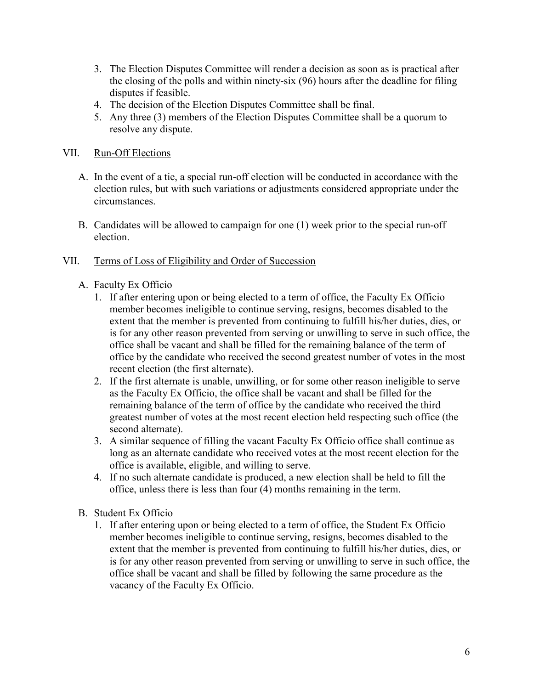- 3. The Election Disputes Committee will render a decision as soon as is practical after the closing of the polls and within ninety-six (96) hours after the deadline for filing disputes if feasible.
- 4. The decision of the Election Disputes Committee shall be final.
- 5. Any three (3) members of the Election Disputes Committee shall be a quorum to resolve any dispute.
- VII. Run-Off Elections
	- A. In the event of a tie, a special run-off election will be conducted in accordance with the election rules, but with such variations or adjustments considered appropriate under the circumstances.
	- B. Candidates will be allowed to campaign for one (1) week prior to the special run-off election.

# VII. Terms of Loss of Eligibility and Order of Succession

- A. Faculty Ex Officio
	- 1. If after entering upon or being elected to a term of office, the Faculty Ex Officio member becomes ineligible to continue serving, resigns, becomes disabled to the extent that the member is prevented from continuing to fulfill his/her duties, dies, or is for any other reason prevented from serving or unwilling to serve in such office, the office shall be vacant and shall be filled for the remaining balance of the term of office by the candidate who received the second greatest number of votes in the most recent election (the first alternate).
	- 2. If the first alternate is unable, unwilling, or for some other reason ineligible to serve as the Faculty Ex Officio, the office shall be vacant and shall be filled for the remaining balance of the term of office by the candidate who received the third greatest number of votes at the most recent election held respecting such office (the second alternate).
	- 3. A similar sequence of filling the vacant Faculty Ex Officio office shall continue as long as an alternate candidate who received votes at the most recent election for the office is available, eligible, and willing to serve.
	- 4. If no such alternate candidate is produced, a new election shall be held to fill the office, unless there is less than four (4) months remaining in the term.
- B. Student Ex Officio
	- 1. If after entering upon or being elected to a term of office, the Student Ex Officio member becomes ineligible to continue serving, resigns, becomes disabled to the extent that the member is prevented from continuing to fulfill his/her duties, dies, or is for any other reason prevented from serving or unwilling to serve in such office, the office shall be vacant and shall be filled by following the same procedure as the vacancy of the Faculty Ex Officio.